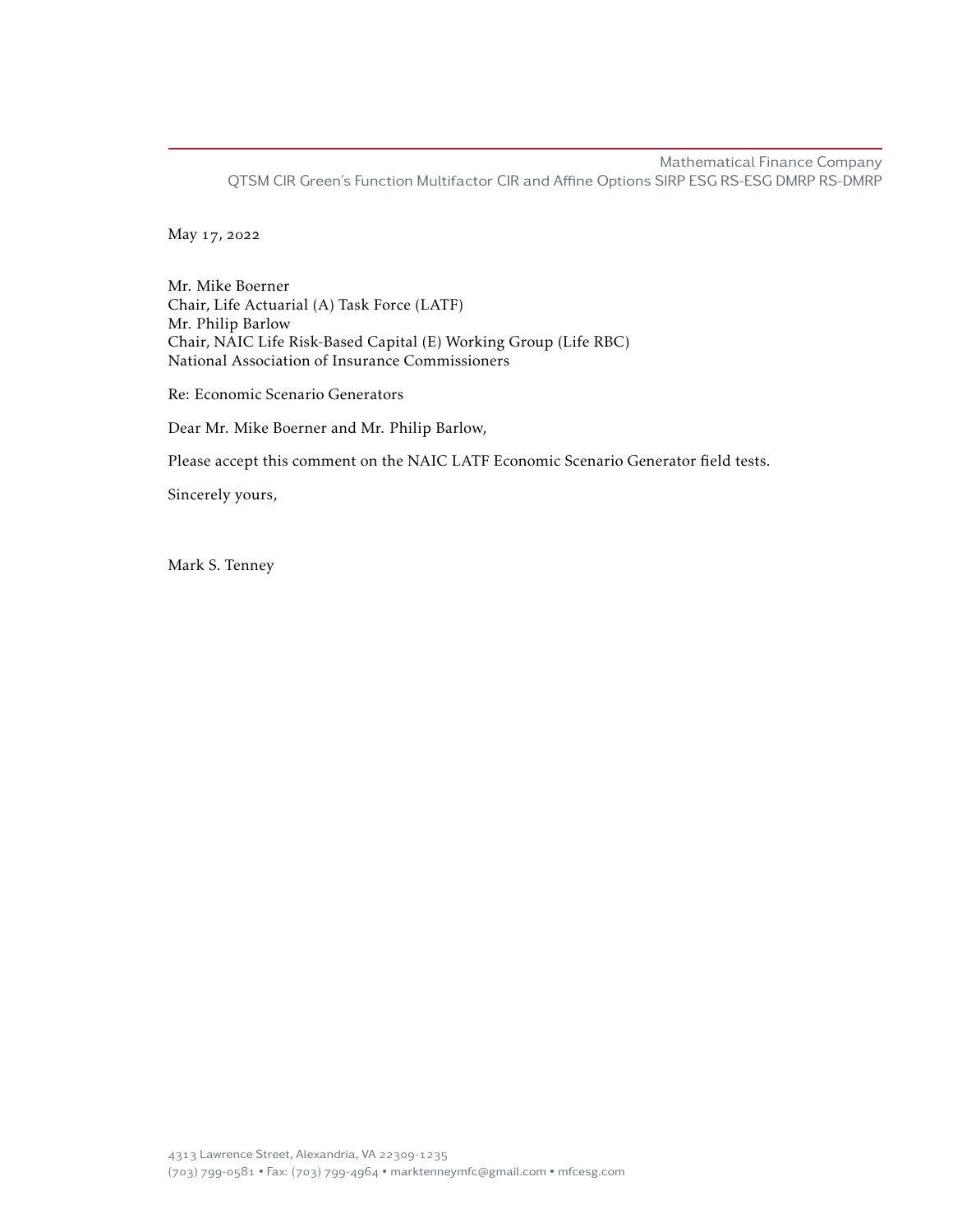Mathematical Finance Company QTSM CIR Green's Function Multifactor CIR and Affine Options SIRP ESG RS-ESG DMRP RS-DMRP

May 17, 2022

Mr. Mike Boerner Chair, Life Actuarial (A) Task Force (LATF) Mr. Philip Barlow Chair, NAIC Life Risk-Based Capital (E) Working Group (Life RBC) National Association of Insurance Commissioners

Re: Economic Scenario Generators

Dear Mr. Mike Boerner and Mr. Philip Barlow,

Please accept this comment on the NAIC LATF Economic Scenario Generator field tests.

Sincerely yours,

Mark S. Tenney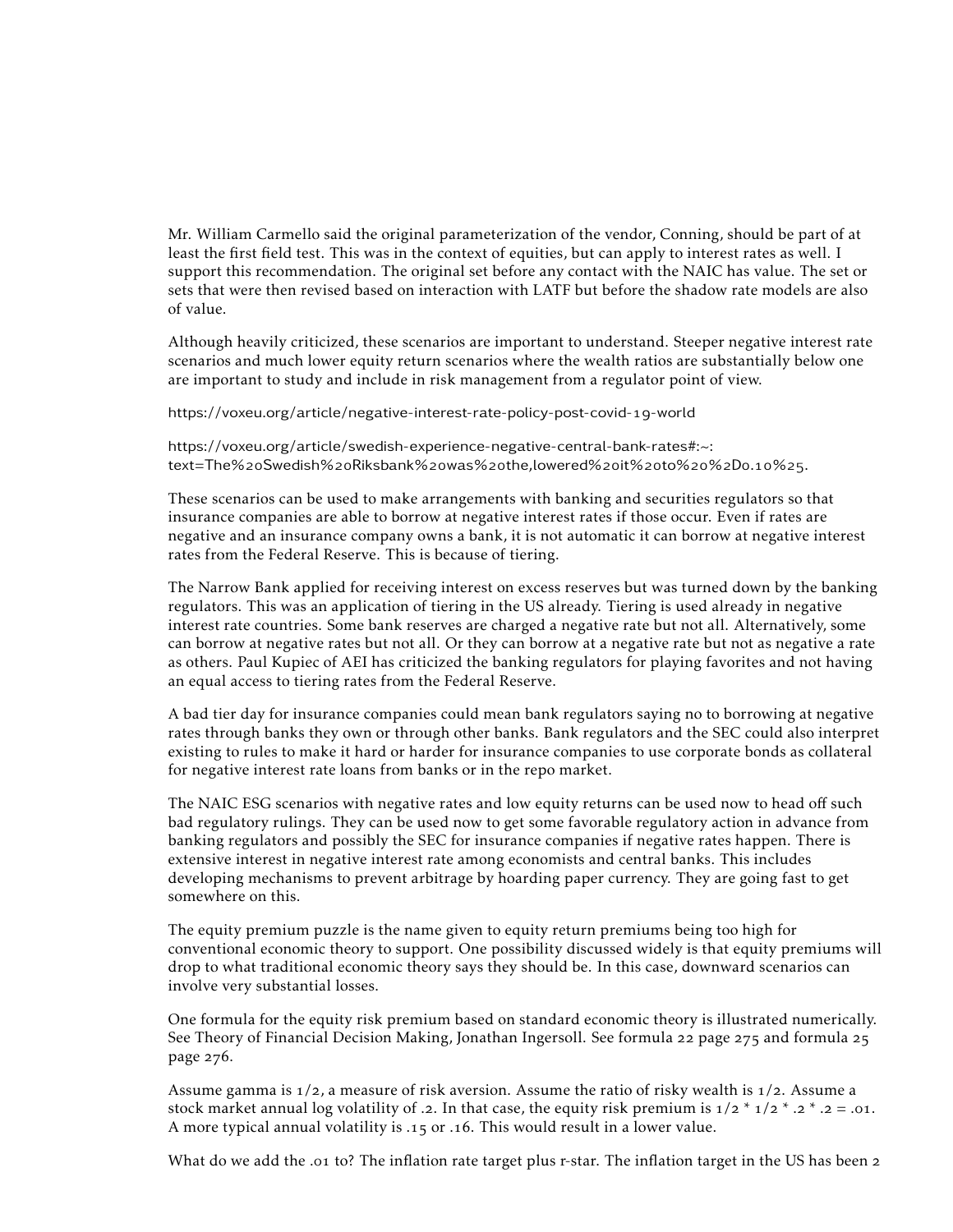Mr. William Carmello said the original parameterization of the vendor, Conning, should be part of at least the first field test. This was in the context of equities, but can apply to interest rates as well. I support this recommendation. The original set before any contact with the NAIC has value. The set or sets that were then revised based on interaction with LATF but before the shadow rate models are also of value.

Although heavily criticized, these scenarios are important to understand. Steeper negative interest rate scenarios and much lower equity return scenarios where the wealth ratios are substantially below one are important to study and include in risk management from a regulator point of view.

[https://voxeu.org/article/negative-interest-rate-policy-post-covid-](https://voxeu.org/article/negative-interest-rate-policy-post-covid-19-world)19-world

[https://voxeu.org/article/swedish-experience-negative-central-bank-rates#:~:](https://voxeu.org/article/swedish-experience-negative-central-bank-rates#:~:text=The%20Swedish%20Riksbank%20was%20the,lowered%20it%20to%20%2D0.10%25.) text=The%20Swedish%20Riksbank%20was%20[the,lowered%](https://voxeu.org/article/swedish-experience-negative-central-bank-rates#:~:text=The%20Swedish%20Riksbank%20was%20the,lowered%20it%20to%20%2D0.10%25.)20it%20to%20%2D0.10%25.

These scenarios can be used to make arrangements with banking and securities regulators so that insurance companies are able to borrow at negative interest rates if those occur. Even if rates are negative and an insurance company owns a bank, it is not automatic it can borrow at negative interest rates from the Federal Reserve. This is because of tiering.

The Narrow Bank applied for receiving interest on excess reserves but was turned down by the banking regulators. This was an application of tiering in the US already. Tiering is used already in negative interest rate countries. Some bank reserves are charged a negative rate but not all. Alternatively, some can borrow at negative rates but not all. Or they can borrow at a negative rate but not as negative a rate as others. Paul Kupiec of AEI has criticized the banking regulators for playing favorites and not having an equal access to tiering rates from the Federal Reserve.

A bad tier day for insurance companies could mean bank regulators saying no to borrowing at negative rates through banks they own or through other banks. Bank regulators and the SEC could also interpret existing to rules to make it hard or harder for insurance companies to use corporate bonds as collateral for negative interest rate loans from banks or in the repo market.

The NAIC ESG scenarios with negative rates and low equity returns can be used now to head off such bad regulatory rulings. They can be used now to get some favorable regulatory action in advance from banking regulators and possibly the SEC for insurance companies if negative rates happen. There is extensive interest in negative interest rate among economists and central banks. This includes developing mechanisms to prevent arbitrage by hoarding paper currency. They are going fast to get somewhere on this.

The equity premium puzzle is the name given to equity return premiums being too high for conventional economic theory to support. One possibility discussed widely is that equity premiums will drop to what traditional economic theory says they should be. In this case, downward scenarios can involve very substantial losses.

One formula for the equity risk premium based on standard economic theory is illustrated numerically. See Theory of Financial Decision Making, Jonathan Ingersoll. See formula 22 page 275 and formula 25 page 276.

Assume gamma is  $1/2$ , a measure of risk aversion. Assume the ratio of risky wealth is  $1/2$ . Assume a stock market annual log volatility of .2. In that case, the equity risk premium is  $1/2 * 1/2 * 0.2 * 0.2 = 0.01$ . A more typical annual volatility is .15 or .16. This would result in a lower value.

What do we add the .01 to? The inflation rate target plus r-star. The inflation target in the US has been 2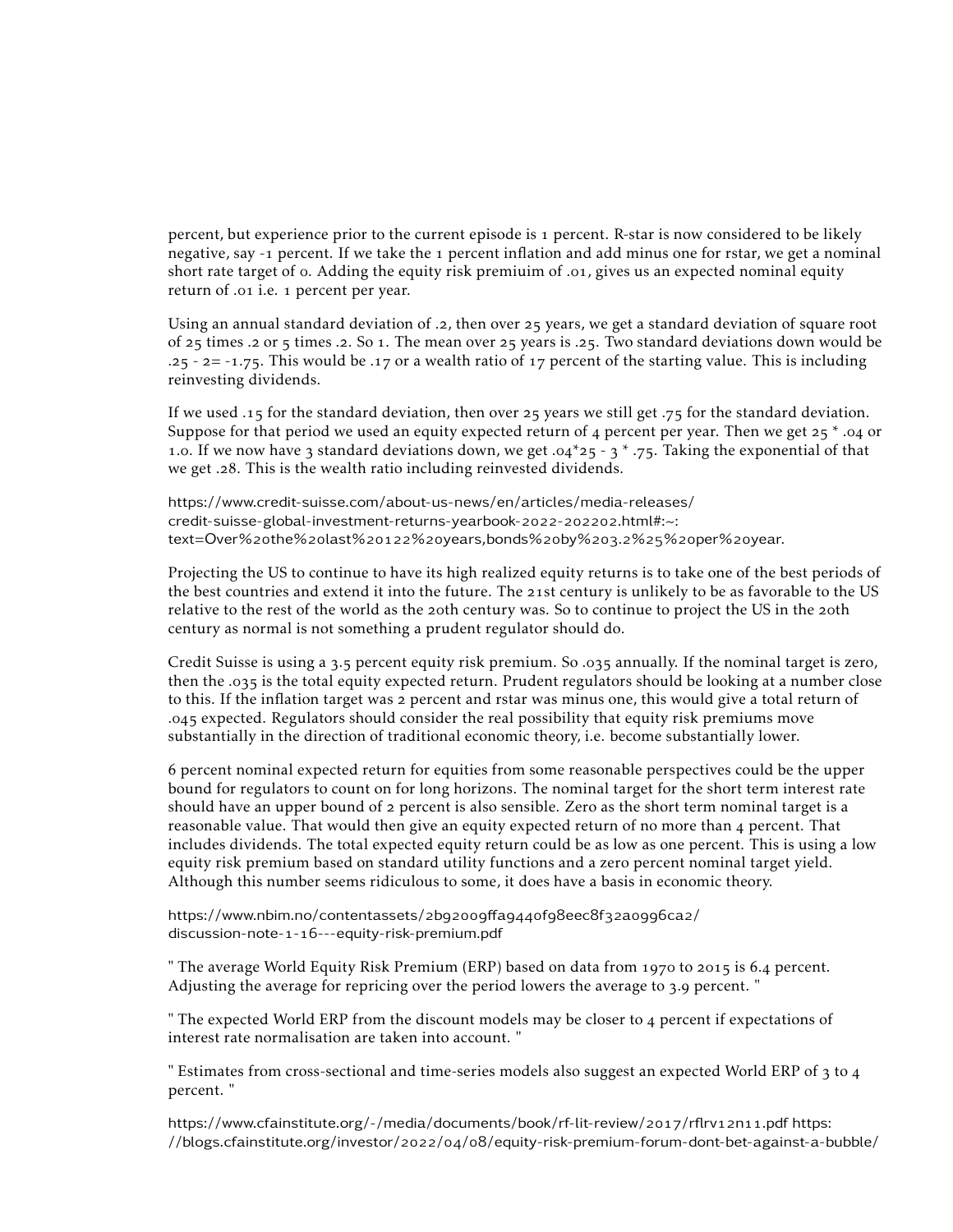percent, but experience prior to the current episode is percent. R-star is now considered to be likely negative, say -1 percent. If we take the 1 percent inflation and add minus one for rstar, we get a nominal short rate target of o. Adding the equity risk premiuim of .01, gives us an expected nominal equity return of .01 i.e. 1 percent per year.

Using an annual standard deviation of .2, then over  $25$  years, we get a standard deviation of square root of  $25$  times .2 or  $5$  times .2. So 1. The mean over  $25$  years is .25. Two standard deviations down would be  $.25 - 2 = -1.75$ . This would be .17 or a wealth ratio of 17 percent of the starting value. This is including reinvesting dividends.

If we used .15 for the standard deviation, then over 25 years we still get .75 for the standard deviation. Suppose for that period we used an equity expected return of 4 percent per year. Then we get  $25 * .04$  or 1.0. If we now have 3 standard deviations down, we get .04\*25 - 3 \* .75. Taking the exponential of that we get .28. This is the wealth ratio including reinvested dividends.

[https://www.credit-suisse.com/about-us-news/en/articles/media-releases/](https://www.credit-suisse.com/about-us-news/en/articles/media-releases/credit-suisse-global-investment-returns-yearbook-2022-202202.html#:~:text=Over%20the%20last%20122%20years,bonds%20by%203.2%25%20per%20year.) [credit-suisse-global-investment-returns-yearbook-](https://www.credit-suisse.com/about-us-news/en/articles/media-releases/credit-suisse-global-investment-returns-yearbook-2022-202202.html#:~:text=Over%20the%20last%20122%20years,bonds%20by%203.2%25%20per%20year.)2022-202202.html#:~: text=Over%2othe%2olast%20122%2o[years,bonds%](https://www.credit-suisse.com/about-us-news/en/articles/media-releases/credit-suisse-global-investment-returns-yearbook-2022-202202.html#:~:text=Over%20the%20last%20122%20years,bonds%20by%203.2%25%20per%20year.)2oby%203.2%25%2oper%2oyear.

Projecting the US to continue to have its high realized equity returns is to take one of the best periods of the best countries and extend it into the future. The 21st century is unlikely to be as favorable to the US relative to the rest of the world as the 20th century was. So to continue to project the US in the 20th century as normal is not something a prudent regulator should do.

Credit Suisse is using a 3.5 percent equity risk premium. So .035 annually. If the nominal target is zero, then the .035 is the total equity expected return. Prudent regulators should be looking at a number close to this. If the inflation target was 2 percent and rstar was minus one, this would give a total return of . expected. Regulators should consider the real possibility that equity risk premiums move substantially in the direction of traditional economic theory, i.e. become substantially lower.

 percent nominal expected return for equities from some reasonable perspectives could be the upper bound for regulators to count on for long horizons. The nominal target for the short term interest rate should have an upper bound of  $2$  percent is also sensible. Zero as the short term nominal target is a reasonable value. That would then give an equity expected return of no more than 4 percent. That includes dividends. The total expected equity return could be as low as one percent. This is using a low equity risk premium based on standard utility functions and a zero percent nominal target yield. Although this number seems ridiculous to some, it does have a basis in economic theory.

[https://www.nbim.no/contentassets/](https://www.nbim.no/contentassets/2b92009ffa9440f98eec8f32a0996ca2/discussion-note-1-16---equity-risk-premium.pdf)2b92009ffa9440f98eec8f32a0996ca2/ discussion-note-1-16[---equity-risk-premium.pdf](https://www.nbim.no/contentassets/2b92009ffa9440f98eec8f32a0996ca2/discussion-note-1-16---equity-risk-premium.pdf)

" The average World Equity Risk Premium (ERP) based on data from 1970 to 2015 is 6.4 percent. Adjusting the average for repricing over the period lowers the average to  $3.9$  percent. "

" The expected World ERP from the discount models may be closer to 4 percent if expectations of interest rate normalisation are taken into account. "

" Estimates from cross-sectional and time-series models also suggest an expected World ERP of  $\frac{1}{3}$  to  $\frac{1}{4}$ percent. "

[https://www.cfainstitute.org/-/media/documents/book/rf-lit-review/](https://www.cfainstitute.org/-/media/documents/book/rf-lit-review/2017/rflrv12n11.pdf)2017/rflrv12n11.pdf [https:](https://blogs.cfainstitute.org/investor/2022/04/08/equity-risk-premium-forum-dont-bet-against-a-bubble/)  $//blogs.cfainstitute.org/investor/2022/04/08/equity-risk-premium-forum-dont-bet-against-a-bubble/$  $//blogs.cfainstitute.org/investor/2022/04/08/equity-risk-premium-forum-dont-bet-against-a-bubble/$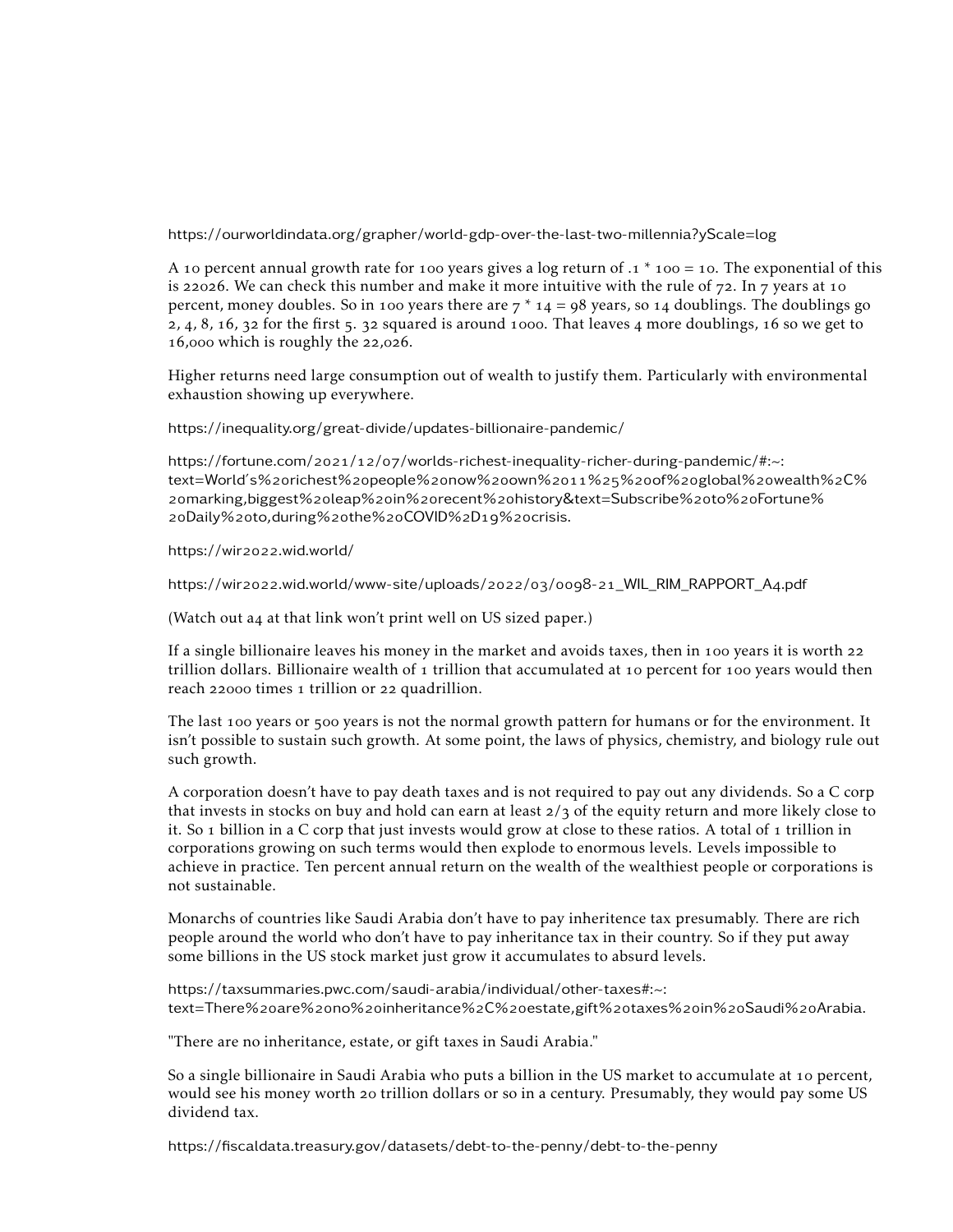<https://ourworldindata.org/grapher/world-gdp-over-the-last-two-millennia?yScale=log>

A 10 percent annual growth rate for 100 years gives a log return of  $.1 * 100 = 10$ . The exponential of this is 22026. We can check this number and make it more intuitive with the rule of  $72$ . In  $7$  years at 10 percent, money doubles. So in 100 years there are  $7 * 14 = 98$  years, so 14 doublings. The doublings go  $2, 4, 8, 16, 32$  for the first  $5, 32$  squared is around 1000. That leaves 4 more doublings, 16 so we get to  $16,000$  which is roughly the 22,026.

Higher returns need large consumption out of wealth to justify them. Particularly with environmental exhaustion showing up everywhere.

<https://inequality.org/great-divide/updates-billionaire-pandemic/>

https://fortune.com/2021/12/07[/worlds-richest-inequality-richer-during-pandemic/#:~:](https://fortune.com/2021/12/07/worlds-richest-inequality-richer-during-pandemic/#:~:text=World) [text=World's%](https://fortune.com/2021/12/07/worlds-richest-inequality-richer-during-pandemic/#:~:text=World)2orichest%2opeople%2onow%2oown%2011%25%2oof%2oglobal%2owealth%2C% 2omarking,biggest%2oleap%2oin%2orecent%2o[history&text=Subscribe%](https://fortune.com/2021/12/07/worlds-richest-inequality-richer-during-pandemic/#:~:text=World)2oto%2oFortune% 20Daily%20[to,during%](https://fortune.com/2021/12/07/worlds-richest-inequality-richer-during-pandemic/#:~:text=World)20the%20COVID%2D19%20crisis.

https://wir2o22[.wid.world/](https://wir2022.wid.world/)

https://wir2o22[.wid.world/www-site/uploads/](https://wir2022.wid.world/www-site/uploads/2022/03/0098-21_WIL_RIM_RAPPORT_A4.pdf)2o22/o3/oog8-21\_WIL\_RIM\_RAPPORT\_A4.pdf

(Watch out a4 at that link won't print well on US sized paper.)

If a single billionaire leaves his money in the market and avoids taxes, then in 100 years it is worth  $22$ trillion dollars. Billionaire wealth of  $\iota$  trillion that accumulated at  $\iota$  o percent for  $\iota$  too years would then reach 22000 times 1 trillion or 22 quadrillion.

The last 100 years or 500 years is not the normal growth pattern for humans or for the environment. It isn't possible to sustain such growth. At some point, the laws of physics, chemistry, and biology rule out such growth.

A corporation doesn't have to pay death taxes and is not required to pay out any dividends. So a C corp that invests in stocks on buy and hold can earn at least  $2/3$  of the equity return and more likely close to it. So 1 billion in a C corp that just invests would grow at close to these ratios. A total of 1 trillion in corporations growing on such terms would then explode to enormous levels. Levels impossible to achieve in practice. Ten percent annual return on the wealth of the wealthiest people or corporations is not sustainable.

Monarchs of countries like Saudi Arabia don't have to pay inheritence tax presumably. There are rich people around the world who don't have to pay inheritance tax in their country. So if they put away some billions in the US stock market just grow it accumulates to absurd levels.

[https://taxsummaries.pwc.com/saudi-arabia/individual/other-taxes#:~:](https://taxsummaries.pwc.com/saudi-arabia/individual/other-taxes#:~:text=There%20are%20no%20inheritance%2C%20estate,gift%20taxes%20in%20Saudi%20Arabia.) text=There%20are%20no%20[inheritance%](https://taxsummaries.pwc.com/saudi-arabia/individual/other-taxes#:~:text=There%20are%20no%20inheritance%2C%20estate,gift%20taxes%20in%20Saudi%20Arabia.)2C%20estate,gift%20taxes%20in%20Saudi%20Arabia.

"There are no inheritance, estate, or gift taxes in Saudi Arabia."

So a single billionaire in Saudi Arabia who puts a billion in the US market to accumulate at 10 percent, would see his money worth 20 trillion dollars or so in a century. Presumably, they would pay some US dividend tax.

<https://fiscaldata.treasury.gov/datasets/debt-to-the-penny/debt-to-the-penny>